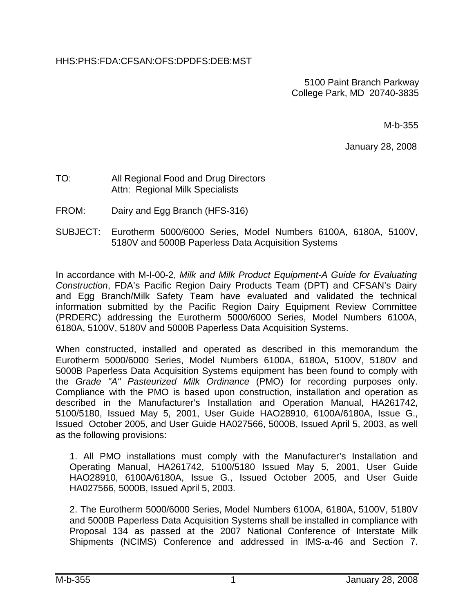## HHS:PHS:FDA:CFSAN:OFS:DPDFS:DEB:MST

 5100 Paint Branch Parkway College Park, MD 20740-3835

M-b-355

January 28, 2008

### TO: All Regional Food and Drug Directors Attn: Regional Milk Specialists

- FROM: Dairy and Egg Branch (HFS-316)
- SUBJECT: Eurotherm 5000/6000 Series, Model Numbers 6100A, 6180A, 5100V, 5180V and 5000B Paperless Data Acquisition Systems

In accordance with M-I-00-2, *Milk and Milk Product Equipment-A Guide for Evaluating Construction*, FDA's Pacific Region Dairy Products Team (DPT) and CFSAN's Dairy and Egg Branch/Milk Safety Team have evaluated and validated the technical information submitted by the Pacific Region Dairy Equipment Review Committee (PRDERC) addressing the Eurotherm 5000/6000 Series, Model Numbers 6100A, 6180A, 5100V, 5180V and 5000B Paperless Data Acquisition Systems.

When constructed, installed and operated as described in this memorandum the Eurotherm 5000/6000 Series, Model Numbers 6100A, 6180A, 5100V, 5180V and 5000B Paperless Data Acquisition Systems equipment has been found to comply with the *Grade "A" Pasteurized Milk Ordinance* (PMO) for recording purposes only. Compliance with the PMO is based upon construction, installation and operation as described in the Manufacturer's Installation and Operation Manual, HA261742, 5100/5180, Issued May 5, 2001, User Guide HAO28910, 6100A/6180A, Issue G., Issued October 2005, and User Guide HA027566, 5000B, Issued April 5, 2003, as well as the following provisions:

1. All PMO installations must comply with the Manufacturer's Installation and Operating Manual, HA261742, 5100/5180 Issued May 5, 2001, User Guide HAO28910, 6100A/6180A, Issue G., Issued October 2005, and User Guide HA027566, 5000B, Issued April 5, 2003.

2. The Eurotherm 5000/6000 Series, Model Numbers 6100A, 6180A, 5100V, 5180V and 5000B Paperless Data Acquisition Systems shall be installed in compliance with Proposal 134 as passed at the 2007 National Conference of Interstate Milk Shipments (NCIMS) Conference and addressed in IMS-a-46 and Section 7.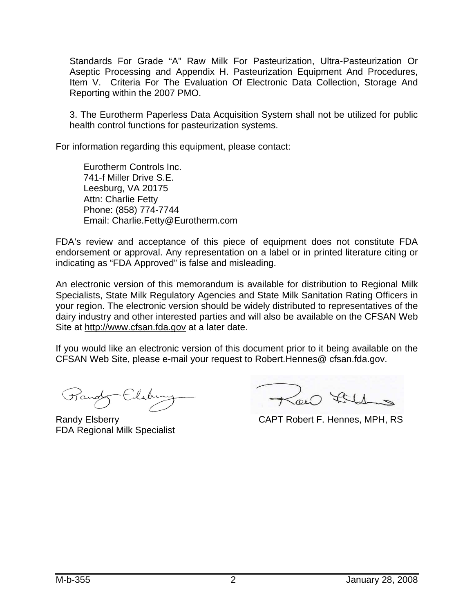Standards For Grade "A" Raw Milk For Pasteurization, Ultra-Pasteurization Or Aseptic Processing and Appendix H. Pasteurization Equipment And Procedures, Item V. Criteria For The Evaluation Of Electronic Data Collection, Storage And Reporting within the 2007 PMO.

3. The Eurotherm Paperless Data Acquisition System shall not be utilized for public health control functions for pasteurization systems.

For information regarding this equipment, please contact:

Eurotherm Controls Inc. 741-f Miller Drive S.E. Leesburg, VA 20175 Attn: Charlie Fetty Phone: (858) 774-7744 Email: Charlie.Fetty@Eurotherm.com

FDA's review and acceptance of this piece of equipment does not constitute FDA endorsement or approval. Any representation on a label or in printed literature citing or indicating as "FDA Approved" is false and misleading.

An electronic version of this memorandum is available for distribution to Regional Milk Specialists, State Milk Regulatory Agencies and State Milk Sanitation Rating Officers in your region. The electronic version should be widely distributed to representatives of the dairy industry and other interested parties and will also be available on the CFSAN Web Site at http://www.cfsan.fda.gov at a later date.

If you would like an electronic version of this document prior to it being available on the CFSAN Web Site, please e-mail your request to Robert.Hennes@ cfsan.fda.gov.

Randy Elsberry CAPT Robert F. Hennes, MPH, RS

FDA Regional Milk Specialist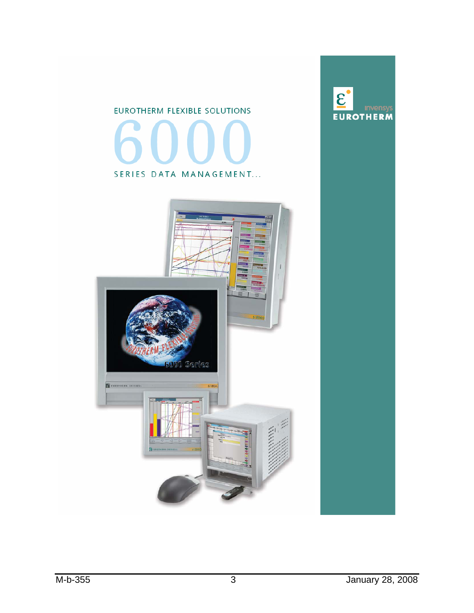